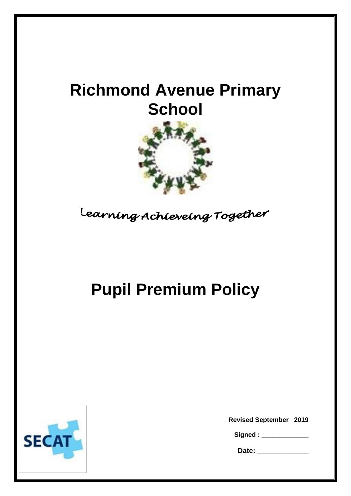# **Richmond Avenue Primary School**



Learning Achieveing Together

# **Pupil Premium Policy**



**Revised September 2019**

| Signed: |  |  |
|---------|--|--|
|---------|--|--|

**Date: \_\_\_\_\_\_\_\_\_\_\_\_\_**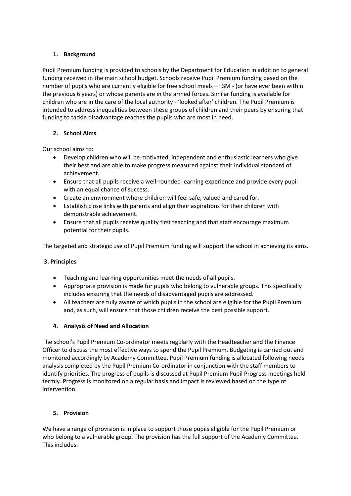# **1. Background**

Pupil Premium funding is provided to schools by the Department for Education in addition to general funding received in the main school budget. Schools receive Pupil Premium funding based on the number of pupils who are currently eligible for free school meals – FSM - (or have ever been within the previous 6 years) or whose parents are in the armed forces. Similar funding is available for children who are in the care of the local authority - 'looked after' children. The Pupil Premium is intended to address inequalities between these groups of children and their peers by ensuring that funding to tackle disadvantage reaches the pupils who are most in need.

# **2. School Aims**

Our school aims to:

- Develop children who will be motivated, independent and enthusiastic learners who give their best and are able to make progress measured against their individual standard of achievement.
- Ensure that all pupils receive a well-rounded learning experience and provide every pupil with an equal chance of success.
- Create an environment where children will feel safe, valued and cared for.
- Establish close links with parents and align their aspirations for their children with demonstrable achievement.
- Ensure that all pupils receive quality first teaching and that staff encourage maximum potential for their pupils.

The targeted and strategic use of Pupil Premium funding will support the school in achieving its aims.

### **3. Principles**

- Teaching and learning opportunities meet the needs of all pupils.
- Appropriate provision is made for pupils who belong to vulnerable groups. This specifically includes ensuring that the needs of disadvantaged pupils are addressed.
- All teachers are fully aware of which pupils in the school are eligible for the Pupil Premium and, as such, will ensure that those children receive the best possible support.

### **4. Analysis of Need and Allocation**

The school's Pupil Premium Co-ordinator meets regularly with the Headteacher and the Finance Officer to discuss the most effective ways to spend the Pupil Premium. Budgeting is carried out and monitored accordingly by Academy Committee. Pupil Premium funding is allocated following needs analysis completed by the Pupil Premium Co-ordinator in conjunction with the staff members to identify priorities. The progress of pupils is discussed at Pupil Premium Pupil Progress meetings held termly. Progress is monitored on a regular basis and impact is reviewed based on the type of intervention.

### **5. Provision**

We have a range of provision is in place to support those pupils eligible for the Pupil Premium or who belong to a vulnerable group. The provision has the full support of the Academy Committee. This includes: